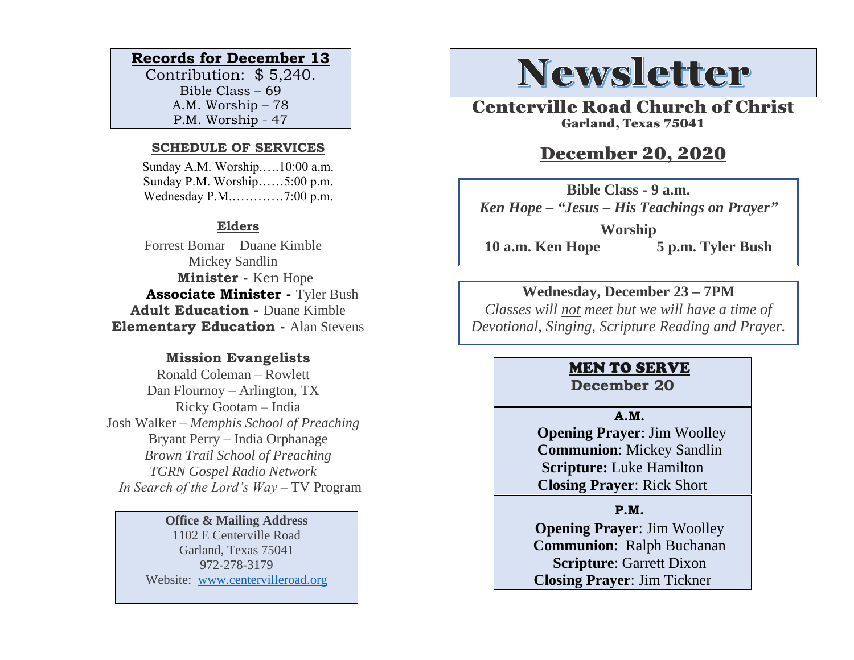# **Records for December 13**

Contribution: \$ 5,240. Bible Class – 69 A.M. Worship – 78 P.M. Worship - 47

#### **SCHEDULE OF SERVICES**

 Sunday A.M. Worship.….10:00 a.m. Sunday P.M. Worship……5:00 p.m. Wednesday P.M.…………7:00 p.m.

## **Elders**

Forrest Bomar Duane Kimble Mickey Sandlin  **Minister -** Ken Hope  **Associate Minister -** Tyler Bush **Adult Education -** Duane Kimble **Elementary Education -** Alan Stevens

## **Mission Evangelists**

Ronald Coleman – Rowlett Dan Flournoy – Arlington, TX Ricky Gootam – India Josh Walker – *Memphis School of Preaching* Bryant Perry – India Orphanage *Brown Trail School of Preaching TGRN Gospel Radio Network In Search of the Lord's Way* – TV Program

#### **Office & Mailing Address**

1102 E Centerville Road Garland, Texas 75041 972-278-3179 Website: [www.centervilleroad.org](https://d.docs.live.net/97e199c461b763eb/Newsletter/News%202020/August%202020/www.centervilleroad.org)

# **Newsletter**

Centerville Road Church of Christ Garland, Texas 75041

# December 20, 2020

**Bible Class - 9 a.m.** *Ken Hope – "Jesus – His Teachings on Prayer"* **Worship 10 a.m. Ken Hope 5 p.m. Tyler Bush**

## **Wednesday, December 23 – 7PM**

*Classes will not meet but we will have a time of Devotional, Singing, Scripture Reading and Prayer.* 

# MEN TO SERVE

# **December 20**

#### **A.M.**

 **Opening Prayer**: Jim Woolley **Communion**: Mickey Sandlin **Scripture:** Luke Hamilton **Closing Prayer**: Rick Short

## **P.M.**

**Opening Prayer**: Jim Woolley **Communion**: Ralph Buchanan **Scripture**: Garrett Dixon **Closing Prayer**: Jim Tickner